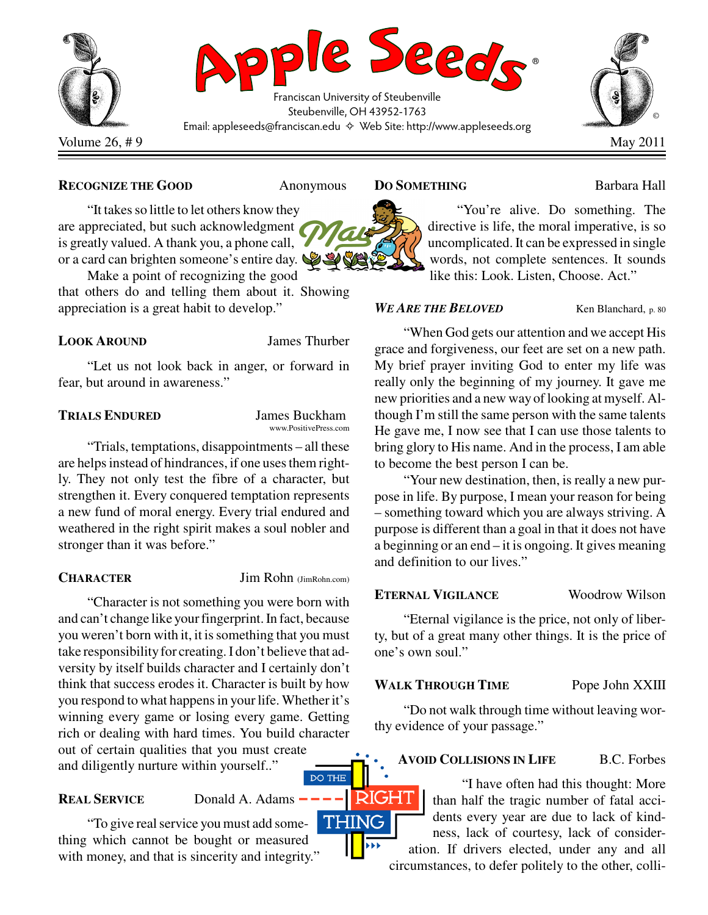

## **RECOGNIZE THE GOOD** Anonymous

"It takes so little to let others know they are appreciated, but such acknowledgment is greatly valued. A thank you, a phone call, or a card can brighten someone's entire day.

Make a point of recognizing the good that others do and telling them about it. Showing appreciation is a great habit to develop."

## **LOOK AROUND** James Thurber

"Let us not look back in anger, or forward in fear, but around in awareness."

## **TRIALS ENDURED** James Buckham

www.PositivePress.com

"Trials, temptations, disappointments – all these are helps instead of hindrances, if one uses them rightly. They not only test the fibre of a character, but strengthen it. Every conquered temptation represents a new fund of moral energy. Every trial endured and weathered in the right spirit makes a soul nobler and stronger than it was before."

**CHARACTER** Jim Rohn (JimRohn.com)

**DO THE** 

"Character is not something you were born with and can't change like your fingerprint. In fact, because you weren't born with it, it is something that you must take responsibility for creating. I don't believe that adversity by itself builds character and I certainly don't think that success erodes it. Character is built by how you respond to what happens in your life. Whether it's winning every game or losing every game. Getting rich or dealing with hard times. You build character out of certain qualities that you must create and diligently nurture within yourself.."

**REAL SERVICE** Donald A. Adams -

**THING** "To give real service you must add something which cannot be bought or measured with money, and that is sincerity and integrity."

## **DO SOMETHING** Barbara Hall



"You're alive. Do something. The directive is life, the moral imperative, is so uncomplicated. It can be expressed in single words, not complete sentences. It sounds like this: Look. Listen, Choose. Act."

## *WE ARE THE BELOVED* Ken Blanchard, p. 80

"When God gets our attention and we accept His grace and forgiveness, our feet are set on a new path. My brief prayer inviting God to enter my life was really only the beginning of my journey. It gave me new priorities and a new way of looking at myself. Although I'm still the same person with the same talents He gave me, I now see that I can use those talents to bring glory to His name. And in the process, I am able to become the best person I can be.

"Your new destination, then, is really a new purpose in life. By purpose, I mean your reason for being – something toward which you are always striving. A purpose is different than a goal in that it does not have a beginning or an end – it is ongoing. It gives meaning and definition to our lives."

# **ETERNAL VIGILANCE** Woodrow Wilson

"Eternal vigilance is the price, not only of liberty, but of a great many other things. It is the price of one's own soul."

# **WALK THROUGH TIME** Pope John XXIII

"Do not walk through time without leaving worthy evidence of your passage."

# **AVOID COLLISIONS IN LIFE** B.C. Forbes

"I have often had this thought: More than half the tragic number of fatal accidents every year are due to lack of kindness, lack of courtesy, lack of consideration. If drivers elected, under any and all

circumstances, to defer politely to the other, colli-